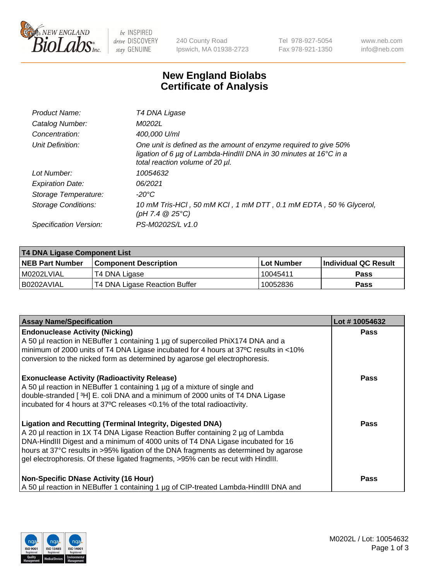

 $be$  INSPIRED drive DISCOVERY stay GENUINE

240 County Road Ipswich, MA 01938-2723 Tel 978-927-5054 Fax 978-921-1350 www.neb.com info@neb.com

## **New England Biolabs Certificate of Analysis**

| Product Name:              | T4 DNA Ligase                                                                                                                                                                           |
|----------------------------|-----------------------------------------------------------------------------------------------------------------------------------------------------------------------------------------|
| Catalog Number:            | M0202L                                                                                                                                                                                  |
| Concentration:             | 400,000 U/ml                                                                                                                                                                            |
| Unit Definition:           | One unit is defined as the amount of enzyme required to give 50%<br>ligation of 6 $\mu$ g of Lambda-HindIII DNA in 30 minutes at 16 $\degree$ C in a<br>total reaction volume of 20 µl. |
| Lot Number:                | 10054632                                                                                                                                                                                |
| <b>Expiration Date:</b>    | 06/2021                                                                                                                                                                                 |
| Storage Temperature:       | -20°C                                                                                                                                                                                   |
| <b>Storage Conditions:</b> | 10 mM Tris-HCl, 50 mM KCl, 1 mM DTT, 0.1 mM EDTA, 50 % Glycerol,<br>(pH 7.4 $@25°C$ )                                                                                                   |
| Specification Version:     | PS-M0202S/L v1.0                                                                                                                                                                        |

| <b>T4 DNA Ligase Component List</b> |                               |            |                      |  |
|-------------------------------------|-------------------------------|------------|----------------------|--|
| <b>NEB Part Number</b>              | <b>Component Description</b>  | Lot Number | Individual QC Result |  |
| M0202LVIAL                          | T4 DNA Ligase                 | 10045411   | <b>Pass</b>          |  |
| B0202AVIAL                          | T4 DNA Ligase Reaction Buffer | 10052836   | <b>Pass</b>          |  |

| <b>Assay Name/Specification</b>                                                                                                                                                                                                                                                                                                                                                                                    | Lot #10054632 |
|--------------------------------------------------------------------------------------------------------------------------------------------------------------------------------------------------------------------------------------------------------------------------------------------------------------------------------------------------------------------------------------------------------------------|---------------|
| <b>Endonuclease Activity (Nicking)</b><br>A 50 µl reaction in NEBuffer 1 containing 1 µg of supercoiled PhiX174 DNA and a<br>minimum of 2000 units of T4 DNA Ligase incubated for 4 hours at 37°C results in <10%<br>conversion to the nicked form as determined by agarose gel electrophoresis.                                                                                                                   | <b>Pass</b>   |
| <b>Exonuclease Activity (Radioactivity Release)</b><br>A 50 µl reaction in NEBuffer 1 containing 1 µg of a mixture of single and<br>double-stranded [3H] E. coli DNA and a minimum of 2000 units of T4 DNA Ligase<br>incubated for 4 hours at 37°C releases <0.1% of the total radioactivity.                                                                                                                      | <b>Pass</b>   |
| <b>Ligation and Recutting (Terminal Integrity, Digested DNA)</b><br>A 20 µl reaction in 1X T4 DNA Ligase Reaction Buffer containing 2 µg of Lambda<br>DNA-HindIII Digest and a minimum of 4000 units of T4 DNA Ligase incubated for 16<br>hours at 37°C results in >95% ligation of the DNA fragments as determined by agarose<br>gel electrophoresis. Of these ligated fragments, >95% can be recut with HindIII. | <b>Pass</b>   |
| <b>Non-Specific DNase Activity (16 Hour)</b><br>A 50 µl reaction in NEBuffer 1 containing 1 µg of CIP-treated Lambda-HindIII DNA and                                                                                                                                                                                                                                                                               | Pass          |

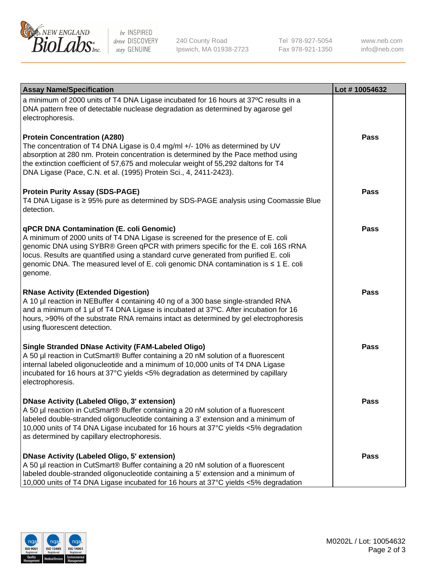

be INSPIRED drive DISCOVERY stay GENUINE

240 County Road Ipswich, MA 01938-2723 Tel 978-927-5054 Fax 978-921-1350

www.neb.com info@neb.com

| <b>Assay Name/Specification</b>                                                                                                                                                                                                                                                                                                                                                                                    | Lot #10054632 |
|--------------------------------------------------------------------------------------------------------------------------------------------------------------------------------------------------------------------------------------------------------------------------------------------------------------------------------------------------------------------------------------------------------------------|---------------|
| a minimum of 2000 units of T4 DNA Ligase incubated for 16 hours at 37°C results in a<br>DNA pattern free of detectable nuclease degradation as determined by agarose gel<br>electrophoresis.                                                                                                                                                                                                                       |               |
| <b>Protein Concentration (A280)</b><br>The concentration of T4 DNA Ligase is 0.4 mg/ml +/- 10% as determined by UV<br>absorption at 280 nm. Protein concentration is determined by the Pace method using<br>the extinction coefficient of 57,675 and molecular weight of 55,292 daltons for T4<br>DNA Ligase (Pace, C.N. et al. (1995) Protein Sci., 4, 2411-2423).                                                | Pass          |
| <b>Protein Purity Assay (SDS-PAGE)</b><br>T4 DNA Ligase is ≥ 95% pure as determined by SDS-PAGE analysis using Coomassie Blue<br>detection.                                                                                                                                                                                                                                                                        | Pass          |
| <b>qPCR DNA Contamination (E. coli Genomic)</b><br>A minimum of 2000 units of T4 DNA Ligase is screened for the presence of E. coli<br>genomic DNA using SYBR® Green qPCR with primers specific for the E. coli 16S rRNA<br>locus. Results are quantified using a standard curve generated from purified E. coli<br>genomic DNA. The measured level of E. coli genomic DNA contamination is ≤ 1 E. coli<br>genome. | <b>Pass</b>   |
| <b>RNase Activity (Extended Digestion)</b><br>A 10 µl reaction in NEBuffer 4 containing 40 ng of a 300 base single-stranded RNA<br>and a minimum of 1 µl of T4 DNA Ligase is incubated at 37°C. After incubation for 16<br>hours, >90% of the substrate RNA remains intact as determined by gel electrophoresis<br>using fluorescent detection.                                                                    | <b>Pass</b>   |
| <b>Single Stranded DNase Activity (FAM-Labeled Oligo)</b><br>A 50 µl reaction in CutSmart® Buffer containing a 20 nM solution of a fluorescent<br>internal labeled oligonucleotide and a minimum of 10,000 units of T4 DNA Ligase<br>incubated for 16 hours at 37°C yields <5% degradation as determined by capillary<br>electrophoresis.                                                                          | <b>Pass</b>   |
| DNase Activity (Labeled Oligo, 3' extension)<br>A 50 µl reaction in CutSmart® Buffer containing a 20 nM solution of a fluorescent<br>labeled double-stranded oligonucleotide containing a 3' extension and a minimum of<br>10,000 units of T4 DNA Ligase incubated for 16 hours at 37°C yields <5% degradation<br>as determined by capillary electrophoresis.                                                      | <b>Pass</b>   |
| DNase Activity (Labeled Oligo, 5' extension)<br>A 50 µl reaction in CutSmart® Buffer containing a 20 nM solution of a fluorescent<br>labeled double-stranded oligonucleotide containing a 5' extension and a minimum of<br>10,000 units of T4 DNA Ligase incubated for 16 hours at 37°C yields <5% degradation                                                                                                     | <b>Pass</b>   |